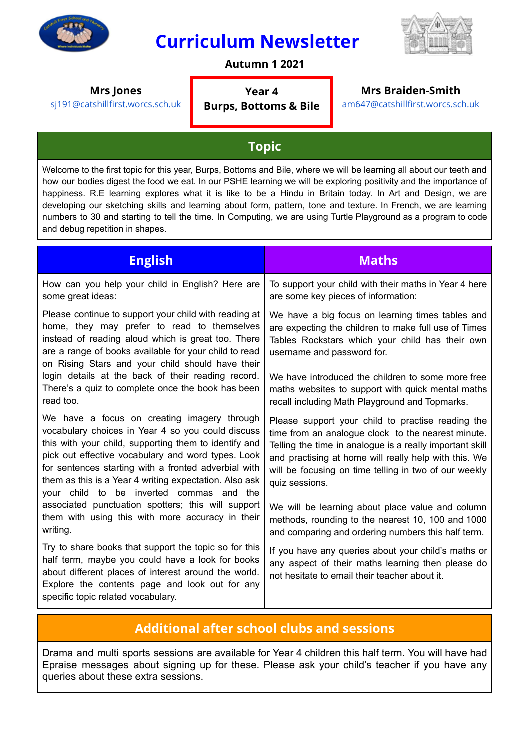

# **Curriculum Newsletter**



#### **Autumn 1 2021**

**Year 4 Burps, Bottoms & Bile**

**Mrs Jones**

[sj191@catshillfirst.worcs.sch.uk](mailto:sj191@catshillfirst.worcs.sch.uk)

#### **Mrs Braiden-Smith**

[am647@catshillfirst.worcs.sch.uk](mailto:am647@catshillfirst.worcs.sch.uk)

## **Topic**

Welcome to the first topic for this year, Burps, Bottoms and Bile, where we will be learning all about our teeth and how our bodies digest the food we eat. In our PSHE learning we will be exploring positivity and the importance of happiness. R.E learning explores what it is like to be a Hindu in Britain today. In Art and Design, we are developing our sketching skills and learning about form, pattern, tone and texture. In French, we are learning numbers to 30 and starting to tell the time. In Computing, we are using Turtle Playground as a program to code and debug repetition in shapes.

| <b>English</b>                                                                                                                                                                                                                                                                                                                                                                                                                                                                                         | <b>Maths</b>                                                                                                                                                                                                                                                                                            |
|--------------------------------------------------------------------------------------------------------------------------------------------------------------------------------------------------------------------------------------------------------------------------------------------------------------------------------------------------------------------------------------------------------------------------------------------------------------------------------------------------------|---------------------------------------------------------------------------------------------------------------------------------------------------------------------------------------------------------------------------------------------------------------------------------------------------------|
| How can you help your child in English? Here are<br>some great ideas:                                                                                                                                                                                                                                                                                                                                                                                                                                  | To support your child with their maths in Year 4 here<br>are some key pieces of information:                                                                                                                                                                                                            |
| Please continue to support your child with reading at<br>home, they may prefer to read to themselves<br>instead of reading aloud which is great too. There<br>are a range of books available for your child to read<br>on Rising Stars and your child should have their<br>login details at the back of their reading record.<br>There's a quiz to complete once the book has been<br>read too.                                                                                                        | We have a big focus on learning times tables and<br>are expecting the children to make full use of Times<br>Tables Rockstars which your child has their own<br>username and password for.                                                                                                               |
|                                                                                                                                                                                                                                                                                                                                                                                                                                                                                                        | We have introduced the children to some more free<br>maths websites to support with quick mental maths<br>recall including Math Playground and Topmarks.                                                                                                                                                |
| We have a focus on creating imagery through<br>vocabulary choices in Year 4 so you could discuss<br>this with your child, supporting them to identify and<br>pick out effective vocabulary and word types. Look<br>for sentences starting with a fronted adverbial with<br>them as this is a Year 4 writing expectation. Also ask<br>to be inverted commas and the<br>your child<br>associated punctuation spotters; this will support<br>them with using this with more accuracy in their<br>writing. | Please support your child to practise reading the<br>time from an analogue clock to the nearest minute.<br>Telling the time in analogue is a really important skill<br>and practising at home will really help with this. We<br>will be focusing on time telling in two of our weekly<br>quiz sessions. |
|                                                                                                                                                                                                                                                                                                                                                                                                                                                                                                        | We will be learning about place value and column<br>methods, rounding to the nearest 10, 100 and 1000<br>and comparing and ordering numbers this half term.                                                                                                                                             |
| Try to share books that support the topic so for this<br>half term, maybe you could have a look for books<br>about different places of interest around the world.<br>Explore the contents page and look out for any<br>specific topic related vocabulary.                                                                                                                                                                                                                                              | If you have any queries about your child's maths or<br>any aspect of their maths learning then please do<br>not hesitate to email their teacher about it.                                                                                                                                               |

### **Additional after school clubs and sessions**

Drama and multi sports sessions are available for Year 4 children this half term. You will have had Epraise messages about signing up for these. Please ask your child's teacher if you have any queries about these extra sessions.